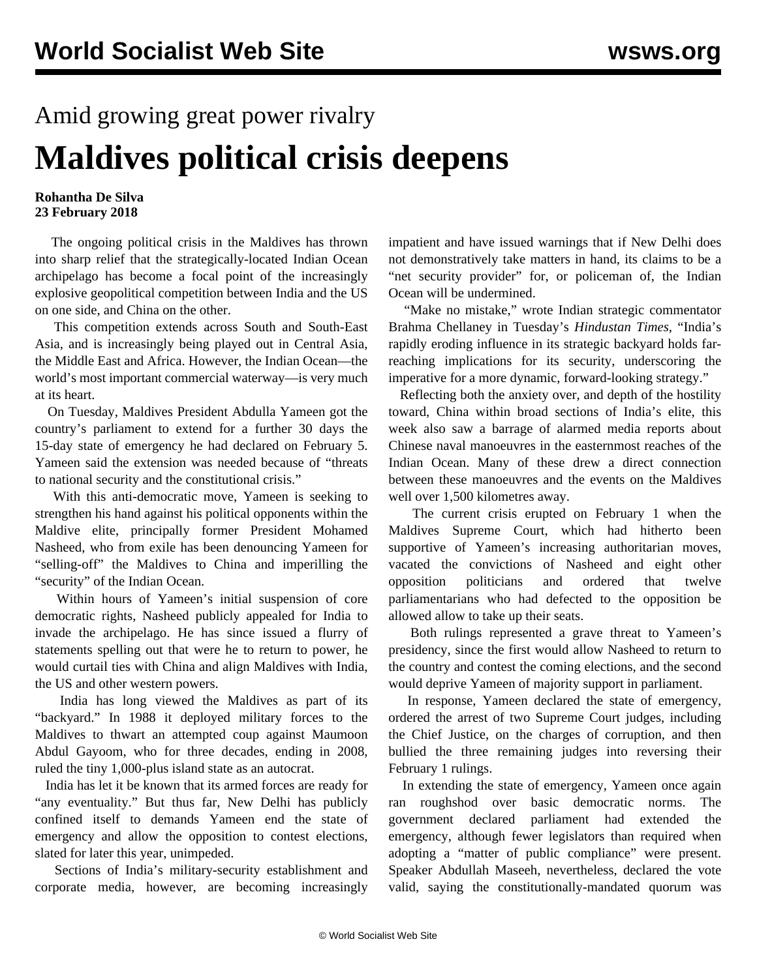## Amid growing great power rivalry **Maldives political crisis deepens**

## **Rohantha De Silva 23 February 2018**

 The ongoing political crisis in the Maldives has thrown into sharp relief that the strategically-located Indian Ocean archipelago has become a focal point of the increasingly explosive geopolitical competition between India and the US on one side, and China on the other.

 This competition extends across South and South-East Asia, and is increasingly being played out in Central Asia, the Middle East and Africa. However, the Indian Ocean—the world's most important commercial waterway—is very much at its heart.

 On Tuesday, Maldives President Abdulla Yameen got the country's parliament to extend for a further 30 days the 15-day state of emergency he had declared on February 5. Yameen said the extension was needed because of "threats to national security and the constitutional crisis."

 With this anti-democratic move, Yameen is seeking to strengthen his hand against his political opponents within the Maldive elite, principally former President Mohamed Nasheed, who from exile has been denouncing Yameen for "selling-off" the Maldives to China and imperilling the "security" of the Indian Ocean.

 Within hours of Yameen's initial suspension of core democratic rights, Nasheed publicly appealed for India to invade the archipelago. He has since issued a flurry of statements spelling out that were he to return to power, he would curtail ties with China and align Maldives with India, the US and other western powers.

 India has long viewed the Maldives as part of its "backyard." In 1988 it deployed military forces to the Maldives to thwart an attempted coup against Maumoon Abdul Gayoom, who for three decades, ending in 2008, ruled the tiny 1,000-plus island state as an autocrat.

 India has let it be known that its armed forces are ready for "any eventuality." But thus far, New Delhi has publicly confined itself to demands Yameen end the state of emergency and allow the opposition to contest elections, slated for later this year, unimpeded.

 Sections of India's military-security establishment and corporate media, however, are becoming increasingly impatient and have issued warnings that if New Delhi does not demonstratively take matters in hand, its claims to be a "net security provider" for, or policeman of, the Indian Ocean will be undermined.

 "Make no mistake," wrote Indian strategic commentator Brahma Chellaney in Tuesday's *Hindustan Times*, "India's rapidly eroding influence in its strategic backyard holds farreaching implications for its security, underscoring the imperative for a more dynamic, forward-looking strategy."

 Reflecting both the anxiety over, and depth of the hostility toward, China within broad sections of India's elite, this week also saw a barrage of alarmed media reports about Chinese naval manoeuvres in the easternmost reaches of the Indian Ocean. Many of these drew a direct connection between these manoeuvres and the events on the Maldives well over 1,500 kilometres away.

 The current crisis erupted on February 1 when the Maldives Supreme Court, which had hitherto been supportive of Yameen's increasing authoritarian moves, vacated the convictions of Nasheed and eight other opposition politicians and ordered that twelve parliamentarians who had defected to the opposition be allowed allow to take up their seats.

 Both rulings represented a grave threat to Yameen's presidency, since the first would allow Nasheed to return to the country and contest the coming elections, and the second would deprive Yameen of majority support in parliament.

 In response, Yameen declared the state of emergency, ordered the arrest of two Supreme Court judges, including the Chief Justice, on the charges of corruption, and then bullied the three remaining judges into reversing their February 1 rulings.

 In extending the state of emergency, Yameen once again ran roughshod over basic democratic norms. The government declared parliament had extended the emergency, although fewer legislators than required when adopting a "matter of public compliance" were present. Speaker Abdullah Maseeh, nevertheless, declared the vote valid, saying the constitutionally-mandated quorum was